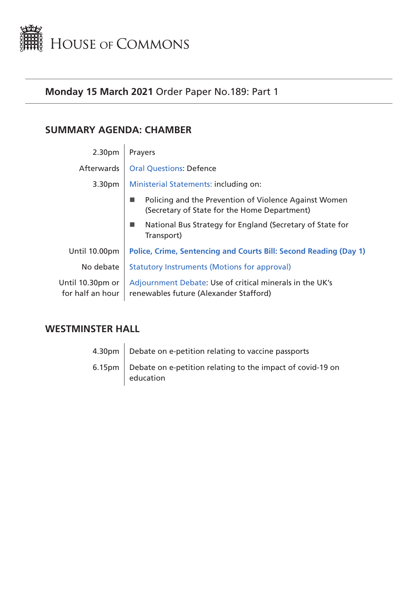<span id="page-0-0"></span>

# **Monday 15 March 2021** Order Paper No.189: Part 1

# **SUMMARY AGENDA: CHAMBER**

| 2.30pm                               | Prayers                                                                                               |  |
|--------------------------------------|-------------------------------------------------------------------------------------------------------|--|
| Afterwards                           | <b>Oral Questions: Defence</b>                                                                        |  |
| 3.30 <sub>pm</sub>                   | Ministerial Statements: including on:                                                                 |  |
|                                      | Policing and the Prevention of Violence Against Women<br>(Secretary of State for the Home Department) |  |
|                                      | National Bus Strategy for England (Secretary of State for<br>Transport)                               |  |
| Until 10.00pm                        | Police, Crime, Sentencing and Courts Bill: Second Reading (Day 1)                                     |  |
| No debate                            | <b>Statutory Instruments (Motions for approval)</b>                                                   |  |
| Until 10.30pm or<br>for half an hour | Adjournment Debate: Use of critical minerals in the UK's<br>renewables future (Alexander Stafford)    |  |

# **WESTMINSTER HALL**

4.30pm | Debate on e-petition relating to vaccine passports 6.15pm  $\vert$  Debate on e-petition relating to the impact of covid-19 on education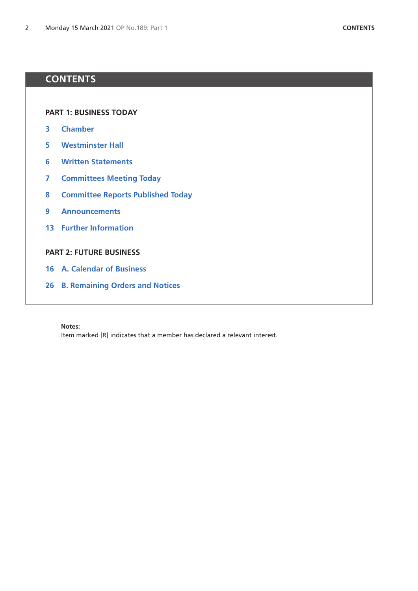# **CONTENTS**

**[PART 1: BUSINESS TODAY](#page-0-0)**

- **[Chamber](#page-2-4)**
- **[Westminster Hall](#page-4-0)**
- **[Written Statements](#page-5-0)**
- **[Committees Meeting Today](#page-6-0)**
- **[Committee Reports Published Today](#page-7-0)**
- **[Announcements](#page-8-0)**
- **[Further Information](#page-12-0)**

# **[PART 2: FUTURE BUSINESS](#page-14-0)**

- **[A. Calendar of Business](#page-15-0)**
- **[B. Remaining Orders and Notices](#page-25-0)**

#### **Notes:**

Item marked [R] indicates that a member has declared a relevant interest.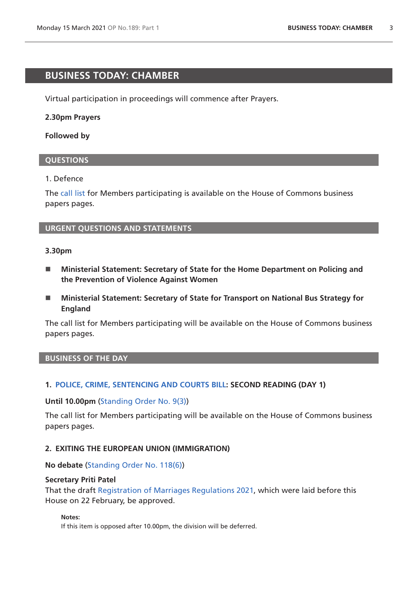# <span id="page-2-4"></span>**BUSINESS TODAY: CHAMBER**

Virtual participation in proceedings will commence after Prayers.

## **2.30pm Prayers**

## **Followed by**

## <span id="page-2-0"></span>**QUESTIONS**

## 1. Defence

The [call list](https://commonsbusiness.parliament.uk/document/46019/html#anchor-0) for Members participating is available on the House of Commons business papers pages.

# <span id="page-2-1"></span>**URGENT QUESTIONS AND STATEMENTS**

## **3.30pm**

- Ministerial Statement: Secretary of State for the Home Department on Policing and **the Prevention of Violence Against Women**
- Ministerial Statement: Secretary of State for Transport on National Bus Strategy for **England**

The call list for Members participating will be available on the House of Commons business papers pages.

## **BUSINESS OF THE DAY**

# <span id="page-2-2"></span>**1. [POLICE, CRIME, SENTENCING AND COURTS BILL](https://publications.parliament.uk/pa/bills/cbill/58-01/0268/200268.pdf): SECOND READING (DAY 1)**

## **Until 10.00pm** [\(Standing Order No. 9\(3\)](https://publications.parliament.uk/pa/cm201919/cmstords/341/body.html#9(3)))

The call list for Members participating will be available on the House of Commons business papers pages.

## <span id="page-2-3"></span>**2. EXITING THE EUROPEAN UNION (IMMIGRATION)**

## **No debate** ([Standing Order No. 118\(6\)](https://publications.parliament.uk/pa/cm201919/cmstords/341/body.html#118(6)))

## **Secretary Priti Patel**

That the draft [Registration of Marriages Regulations 2021](https://www.legislation.gov.uk/ukdsi/2021/9780348220308/pdfs/ukdsi_9780348220308_en.pdf), which were laid before this House on 22 February, be approved.

#### **Notes:**

If this item is opposed after 10.00pm, the division will be deferred.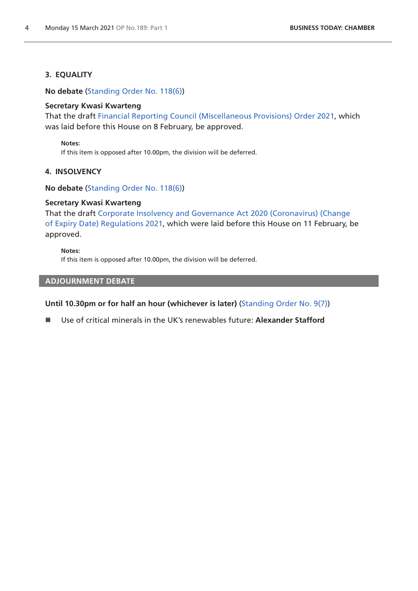## **3. EQUALITY**

**No debate** ([Standing Order No. 118\(6\)](https://publications.parliament.uk/pa/cm201919/cmstords/341/body.html#118(6)))

## **Secretary Kwasi Kwarteng**

That the draft [Financial Reporting Council \(Miscellaneous Provisions\) Order 2021](https://www.legislation.gov.uk/ukdsi/2021/9780348219777/pdfs/ukdsi_9780348219777_en.pdf), which was laid before this House on 8 February, be approved.

#### **Notes:**

If this item is opposed after 10.00pm, the division will be deferred.

## **4. INSOLVENCY**

**No debate** ([Standing Order No. 118\(6\)](https://publications.parliament.uk/pa/cm201919/cmstords/341/body.html#118(6)))

## **Secretary Kwasi Kwarteng**

That the draft [Corporate Insolvency and Governance Act 2020 \(Coronavirus\) \(Change](https://www.legislation.gov.uk/ukdsi/2021/9780348220070/pdfs/ukdsi_9780348220070_en.pdf)  [of Expiry Date\) Regulations 2021,](https://www.legislation.gov.uk/ukdsi/2021/9780348220070/pdfs/ukdsi_9780348220070_en.pdf) which were laid before this House on 11 February, be approved.

#### **Notes:**

If this item is opposed after 10.00pm, the division will be deferred.

# <span id="page-3-0"></span>**ADJOURNMENT DEBATE**

## **Until 10.30pm or for half an hour (whichever is later)** [\(Standing Order No. 9\(7\)\)](https://publications.parliament.uk/pa/cm201919/cmstords/341/body.html#9(7))

Use of critical minerals in the UK's renewables future: **Alexander Stafford**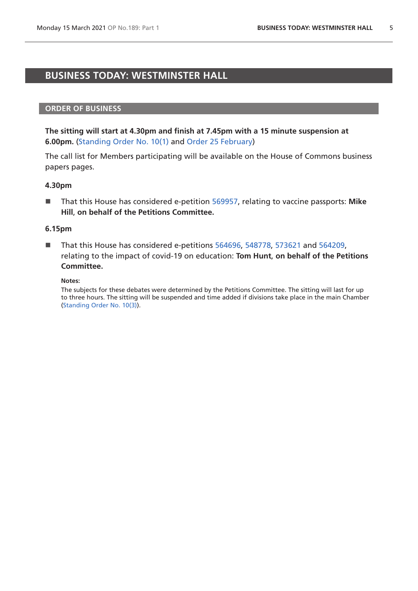# <span id="page-4-0"></span>**BUSINESS TODAY: WESTMINSTER HALL**

#### **ORDER OF BUSINESS**

**The sitting will start at 4.30pm and finish at 7.45pm with a 15 minute suspension at 6.00pm.** [\(Standing Order No. 10\(1\)](https://publications.parliament.uk/pa/cm201919/cmstords/341/body.html#10(1)) and [Order 25 February\)](https://commonsbusiness.parliament.uk/document/45628/pdf)

The call list for Members participating will be available on the House of Commons business papers pages.

#### **4.30pm**

■ That this House has considered e-petition [569957,](https://petition.parliament.uk/petitions/569957) relating to vaccine passports: Mike **Hill**, **on behalf of the Petitions Committee.**

#### **6.15pm**

■ That this House has considered e-petitions [564696](https://petition.parliament.uk/petitions/564696), [548778](https://petition.parliament.uk/petitions/548778), [573621](https://petition.parliament.uk/petitions/573621) and [564209](https://petition.parliament.uk/petitions/564209), relating to the impact of covid-19 on education: **Tom Hunt**, **on behalf of the Petitions Committee.**

#### **Notes:**

The subjects for these debates were determined by the Petitions Committee. The sitting will last for up to three hours. The sitting will be suspended and time added if divisions take place in the main Chamber [\(Standing Order No. 10\(3\)](https://publications.parliament.uk/pa/cm201919/cmstords/341/body.html#10(3))).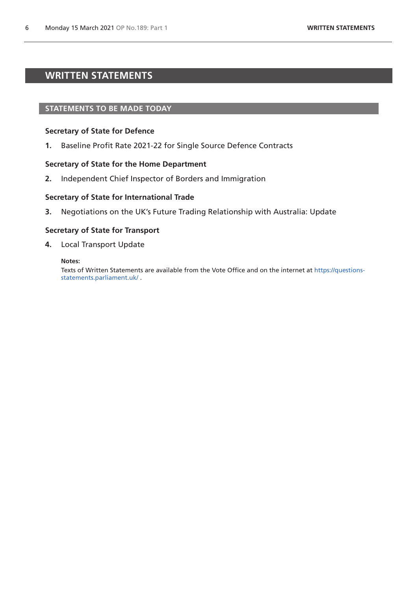# <span id="page-5-0"></span>**WRITTEN STATEMENTS**

## **STATEMENTS TO BE MADE TODAY**

#### **Secretary of State for Defence**

**1.** Baseline Profit Rate 2021-22 for Single Source Defence Contracts

#### **Secretary of State for the Home Department**

**2.** Independent Chief Inspector of Borders and Immigration

#### **Secretary of State for International Trade**

**3.** Negotiations on the UK's Future Trading Relationship with Australia: Update

#### **Secretary of State for Transport**

**4.** Local Transport Update

#### **Notes:**

Texts of Written Statements are available from the Vote Office and on the internet at [https://questions](https://questions-statements.parliament.uk/)[statements.parliament.uk/](https://questions-statements.parliament.uk/) .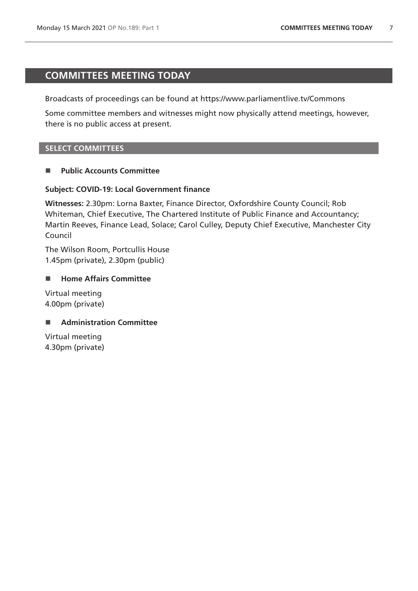# <span id="page-6-0"></span>**COMMITTEES MEETING TODAY**

Broadcasts of proceedings can be found at https://www.parliamentlive.tv/Commons

Some committee members and witnesses might now physically attend meetings, however, there is no public access at present.

## **SELECT COMMITTEES**

## **Public Accounts Committee**

## **Subject: COVID-19: Local Government finance**

**Witnesses:** 2.30pm: Lorna Baxter, Finance Director, Oxfordshire County Council; Rob Whiteman, Chief Executive, The Chartered Institute of Public Finance and Accountancy; Martin Reeves, Finance Lead, Solace; Carol Culley, Deputy Chief Executive, Manchester City Council

The Wilson Room, Portcullis House 1.45pm (private), 2.30pm (public)

## ■ Home Affairs Committee

Virtual meeting 4.00pm (private)

# ■ **Administration Committee**

Virtual meeting 4.30pm (private)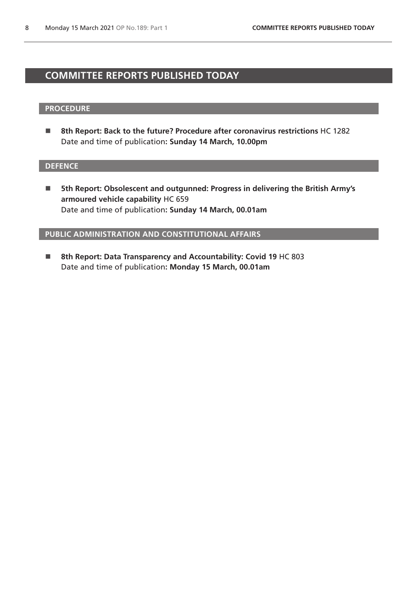# <span id="page-7-0"></span>**COMMITTEE REPORTS PUBLISHED TODAY**

#### **PROCEDURE**

■ 8th Report: Back to the future? Procedure after coronavirus restrictions HC 1282 Date and time of publication**: Sunday 14 March, 10.00pm**

## **DEFENCE**

■ 5th Report: Obsolescent and outgunned: Progress in delivering the British Army's **armoured vehicle capability** HC 659 Date and time of publication**: Sunday 14 March, 00.01am**

**PUBLIC ADMINISTRATION AND CONSTITUTIONAL AFFAIRS**

■ 8th Report: Data Transparency and Accountability: Covid 19 HC 803 Date and time of publication**: Monday 15 March, 00.01am**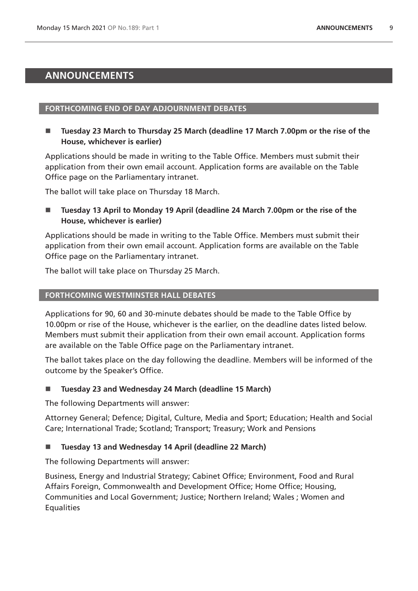# <span id="page-8-0"></span>**ANNOUNCEMENTS**

## **FORTHCOMING END OF DAY ADJOURNMENT DEBATES**

■ Tuesday 23 March to Thursday 25 March (deadline 17 March 7.00pm or the rise of the **House, whichever is earlier)** 

Applications should be made in writing to the Table Office. Members must submit their application from their own email account. Application forms are available on the Table Office page on the Parliamentary intranet.

The ballot will take place on Thursday 18 March.

■ Tuesday 13 April to Monday 19 April (deadline 24 March 7.00pm or the rise of the **House, whichever is earlier)** 

Applications should be made in writing to the Table Office. Members must submit their application from their own email account. Application forms are available on the Table Office page on the Parliamentary intranet.

The ballot will take place on Thursday 25 March.

## **FORTHCOMING WESTMINSTER HALL DEBATES**

Applications for 90, 60 and 30-minute debates should be made to the Table Office by 10.00pm or rise of the House, whichever is the earlier, on the deadline dates listed below. Members must submit their application from their own email account. Application forms are available on the Table Office page on the Parliamentary intranet.

The ballot takes place on the day following the deadline. Members will be informed of the outcome by the Speaker's Office.

# **Tuesday 23 and Wednesday 24 March (deadline 15 March)**

The following Departments will answer:

Attorney General; Defence; Digital, Culture, Media and Sport; Education; Health and Social Care; International Trade; Scotland; Transport; Treasury; Work and Pensions

# **Tuesday 13 and Wednesday 14 April (deadline 22 March)**

The following Departments will answer:

Business, Energy and Industrial Strategy; Cabinet Office; Environment, Food and Rural Affairs Foreign, Commonwealth and Development Office; Home Office; Housing, Communities and Local Government; Justice; Northern Ireland; Wales ; Women and **Equalities**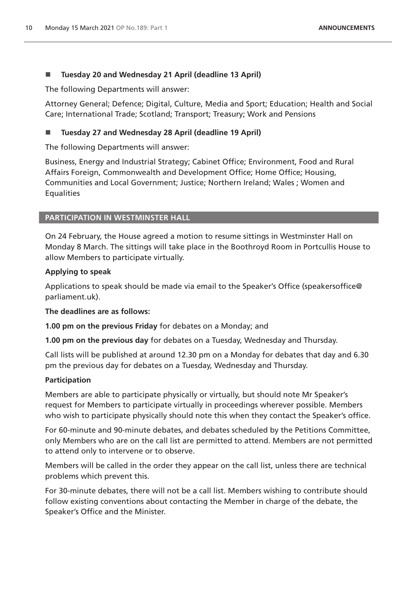# **Tuesday 20 and Wednesday 21 April (deadline 13 April)**

The following Departments will answer:

Attorney General; Defence; Digital, Culture, Media and Sport; Education; Health and Social Care; International Trade; Scotland; Transport; Treasury; Work and Pensions

# **Tuesday 27 and Wednesday 28 April (deadline 19 April)**

The following Departments will answer:

Business, Energy and Industrial Strategy; Cabinet Office; Environment, Food and Rural Affairs Foreign, Commonwealth and Development Office; Home Office; Housing, Communities and Local Government; Justice; Northern Ireland; Wales ; Women and **Equalities** 

# **PARTICIPATION IN WESTMINSTER HALL**

On 24 February, the House agreed a motion to resume sittings in Westminster Hall on Monday 8 March. The sittings will take place in the Boothroyd Room in Portcullis House to allow Members to participate virtually.

# **Applying to speak**

Applications to speak should be made via email to the Speaker's Office (speakersoffice@ parliament.uk).

**The deadlines are as follows:**

**1.00 pm on the previous Friday** for debates on a Monday; and

**1.00 pm on the previous day** for debates on a Tuesday, Wednesday and Thursday.

Call lists will be published at around 12.30 pm on a Monday for debates that day and 6.30 pm the previous day for debates on a Tuesday, Wednesday and Thursday.

# **Participation**

Members are able to participate physically or virtually, but should note Mr Speaker's request for Members to participate virtually in proceedings wherever possible. Members who wish to participate physically should note this when they contact the Speaker's office.

For 60-minute and 90-minute debates, and debates scheduled by the Petitions Committee, only Members who are on the call list are permitted to attend. Members are not permitted to attend only to intervene or to observe.

Members will be called in the order they appear on the call list, unless there are technical problems which prevent this.

For 30-minute debates, there will not be a call list. Members wishing to contribute should follow existing conventions about contacting the Member in charge of the debate, the Speaker's Office and the Minister.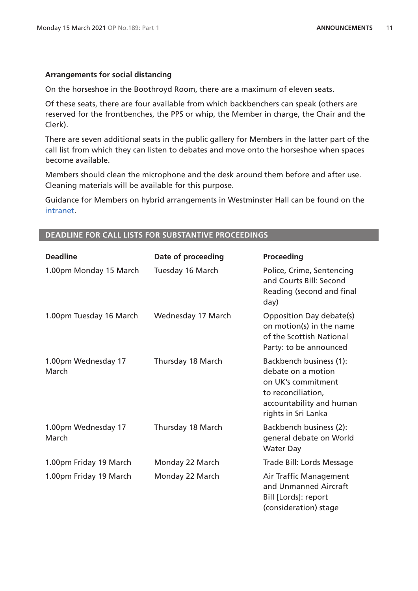#### **Arrangements for social distancing**

On the horseshoe in the Boothroyd Room, there are a maximum of eleven seats.

Of these seats, there are four available from which backbenchers can speak (others are reserved for the frontbenches, the PPS or whip, the Member in charge, the Chair and the Clerk).

There are seven additional seats in the public gallery for Members in the latter part of the call list from which they can listen to debates and move onto the horseshoe when spaces become available.

Members should clean the microphone and the desk around them before and after use. Cleaning materials will be available for this purpose.

Guidance for Members on hybrid arrangements in Westminster Hall can be found on the [intranet.](https://intranet.parliament.uk/Documents/Coronavirus%20hub/Speaker)

| <b>Deadline</b>              | Date of proceeding | <b>Proceeding</b>                                                                                                                            |
|------------------------------|--------------------|----------------------------------------------------------------------------------------------------------------------------------------------|
| 1.00pm Monday 15 March       | Tuesday 16 March   | Police, Crime, Sentencing<br>and Courts Bill: Second<br>Reading (second and final<br>day)                                                    |
| 1.00pm Tuesday 16 March      | Wednesday 17 March | Opposition Day debate(s)<br>on motion(s) in the name<br>of the Scottish National<br>Party: to be announced                                   |
| 1.00pm Wednesday 17<br>March | Thursday 18 March  | Backbench business (1):<br>debate on a motion<br>on UK's commitment<br>to reconciliation,<br>accountability and human<br>rights in Sri Lanka |
| 1.00pm Wednesday 17<br>March | Thursday 18 March  | Backbench business (2):<br>general debate on World<br><b>Water Day</b>                                                                       |
| 1.00pm Friday 19 March       | Monday 22 March    | Trade Bill: Lords Message                                                                                                                    |
| 1.00pm Friday 19 March       | Monday 22 March    | Air Traffic Management<br>and Unmanned Aircraft<br>Bill [Lords]: report<br>(consideration) stage                                             |

#### **DEADLINE FOR CALL LISTS FOR SUBSTANTIVE PROCEEDINGS**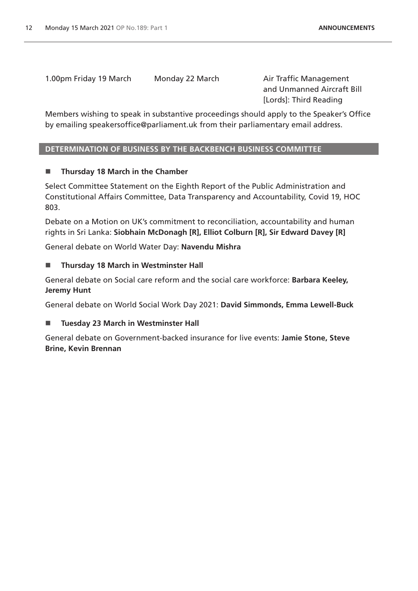1.00pm Friday 19 March Monday 22 March Air Traffic Management

and Unmanned Aircraft Bill [Lords]: Third Reading

Members wishing to speak in substantive proceedings should apply to the Speaker's Office by emailing speakersoffice@parliament.uk from their parliamentary email address.

# **DETERMINATION OF BUSINESS BY THE BACKBENCH BUSINESS COMMITTEE**

# **Thursday 18 March in the Chamber**

Select Committee Statement on the Eighth Report of the Public Administration and Constitutional Affairs Committee, Data Transparency and Accountability, Covid 19, HOC 803.

Debate on a Motion on UK's commitment to reconciliation, accountability and human rights in Sri Lanka: **Siobhain McDonagh [R], Elliot Colburn [R], Sir Edward Davey [R]**

General debate on World Water Day: **Navendu Mishra**

# **Thursday 18 March in Westminster Hall**

General debate on Social care reform and the social care workforce: **Barbara Keeley, Jeremy Hunt**

General debate on World Social Work Day 2021: **David Simmonds, Emma Lewell-Buck**

# **Tuesday 23 March in Westminster Hall**

General debate on Government-backed insurance for live events: **Jamie Stone, Steve Brine, Kevin Brennan**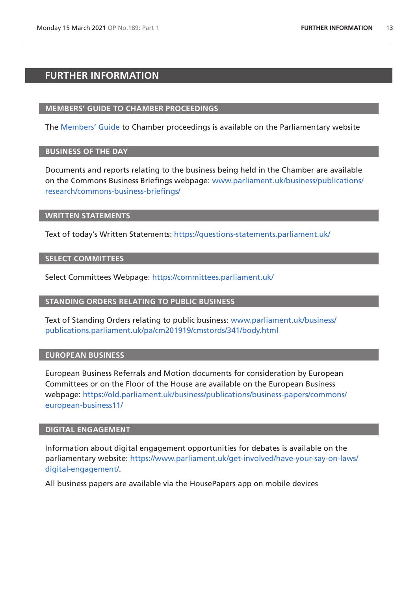# <span id="page-12-0"></span>**FURTHER INFORMATION**

## **MEMBERS' GUIDE TO CHAMBER PROCEEDINGS**

The [Members' Guide](https://guidetoprocedure.parliament.uk/mps-guide-to-procedure) to Chamber proceedings is available on the Parliamentary website

## **BUSINESS OF THE DAY**

Documents and reports relating to the business being held in the Chamber are available on the Commons Business Briefings webpage: [www.parliament.uk/business/publications/](http://www.parliament.uk/business/publications/research/commons-business-briefings/) [research/commons-business-briefings/](http://www.parliament.uk/business/publications/research/commons-business-briefings/)

#### **WRITTEN STATEMENTS**

Text of today's Written Statements:<https://questions-statements.parliament.uk/>

## **SELECT COMMITTEES**

Select Committees Webpage: <https://committees.parliament.uk/>

## **STANDING ORDERS RELATING TO PUBLIC BUSINESS**

Text of Standing Orders relating to public business: [www.parliament.uk/business/](http://publications.parliament.uk/pa/cm201919/cmstords/341/body.html) [publications.parliament.uk/pa/cm201919/cmstords/341/body.html](http://publications.parliament.uk/pa/cm201919/cmstords/341/body.html)

## **EUROPEAN BUSINESS**

European Business Referrals and Motion documents for consideration by European Committees or on the Floor of the House are available on the European Business webpage: [https://old.parliament.uk/business/publications/business-papers/commons/](https://old.parliament.uk/business/publications/business-papers/commons/european-business11/) [european-business11/](https://old.parliament.uk/business/publications/business-papers/commons/european-business11/)

# **DIGITAL ENGAGEMENT**

Information about digital engagement opportunities for debates is available on the parliamentary website: [https://www.parliament.uk/get-involved/have-your-say-on-laws/](https://www.parliament.uk/get-involved/have-your-say-on-laws/digital-engagement/) [digital-engagement/](https://www.parliament.uk/get-involved/have-your-say-on-laws/digital-engagement/).

All business papers are available via the HousePapers app on mobile devices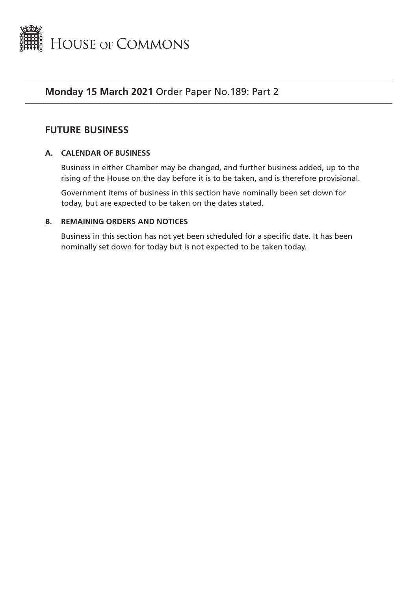<span id="page-14-0"></span>

# **Monday 15 March 2021** Order Paper No.189: Part 2

# **FUTURE BUSINESS**

# **A. CALENDAR OF BUSINESS**

Business in either Chamber may be changed, and further business added, up to the rising of the House on the day before it is to be taken, and is therefore provisional.

Government items of business in this section have nominally been set down for today, but are expected to be taken on the dates stated.

# **B. REMAINING ORDERS AND NOTICES**

Business in this section has not yet been scheduled for a specific date. It has been nominally set down for today but is not expected to be taken today.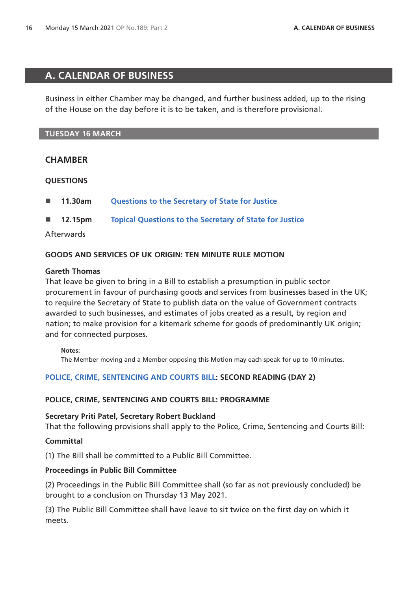# <span id="page-15-0"></span>**A. CALENDAR OF BUSINESS**

Business in either Chamber may be changed, and further business added, up to the rising of the House on the day before it is to be taken, and is therefore provisional.

# **TUESDAY 16 MARCH**

# **CHAMBER**

# **QUESTIONS**

- **11.30am [Questions to the Secretary of State for Justice](https://commonsbusiness.parliament.uk/document/46153/html#anchor-1)**
- **12.15pm [Topical Questions to the Secretary of State for Justice](https://commonsbusiness.parliament.uk/document/46153/html#anchor-2)**

# Afterwards

# **GOODS AND SERVICES OF UK ORIGIN: TEN MINUTE RULE MOTION**

## **Gareth Thomas**

That leave be given to bring in a Bill to establish a presumption in public sector procurement in favour of purchasing goods and services from businesses based in the UK; to require the Secretary of State to publish data on the value of Government contracts awarded to such businesses, and estimates of jobs created as a result, by region and nation; to make provision for a kitemark scheme for goods of predominantly UK origin; and for connected purposes.

## **Notes:**

The Member moving and a Member opposing this Motion may each speak for up to 10 minutes.

# **[POLICE, CRIME, SENTENCING AND COURTS BILL](https://publications.parliament.uk/pa/bills/cbill/58-01/0268/200268.pdf): SECOND READING (DAY 2)**

# **POLICE, CRIME, SENTENCING AND COURTS BILL: PROGRAMME**

## **Secretary Priti Patel, Secretary Robert Buckland**

That the following provisions shall apply to the Police, Crime, Sentencing and Courts Bill:

## **Committal**

(1) The Bill shall be committed to a Public Bill Committee.

# **Proceedings in Public Bill Committee**

(2) Proceedings in the Public Bill Committee shall (so far as not previously concluded) be brought to a conclusion on Thursday 13 May 2021.

(3) The Public Bill Committee shall have leave to sit twice on the first day on which it meets.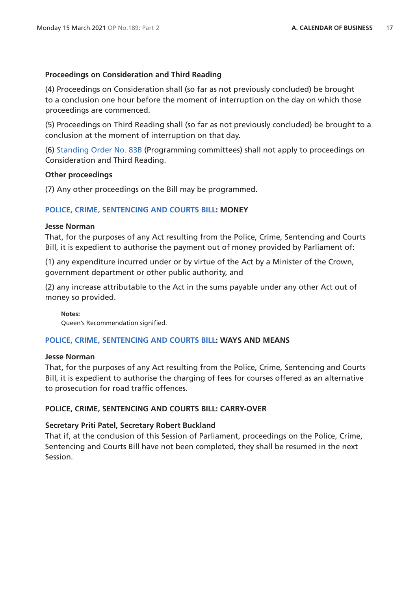## **Proceedings on Consideration and Third Reading**

(4) Proceedings on Consideration shall (so far as not previously concluded) be brought to a conclusion one hour before the moment of interruption on the day on which those proceedings are commenced.

(5) Proceedings on Third Reading shall (so far as not previously concluded) be brought to a conclusion at the moment of interruption on that day.

(6) [Standing Order No. 83B](https://publications.parliament.uk/pa/cm201919/cmstords/341/body.html#83B) (Programming committees) shall not apply to proceedings on Consideration and Third Reading.

## **Other proceedings**

(7) Any other proceedings on the Bill may be programmed.

# **[POLICE, CRIME, SENTENCING AND COURTS BILL](https://publications.parliament.uk/pa/bills/cbill/58-01/0268/200268.pdf): MONEY**

#### **Jesse Norman**

That, for the purposes of any Act resulting from the Police, Crime, Sentencing and Courts Bill, it is expedient to authorise the payment out of money provided by Parliament of:

(1) any expenditure incurred under or by virtue of the Act by a Minister of the Crown, government department or other public authority, and

(2) any increase attributable to the Act in the sums payable under any other Act out of money so provided.

**Notes:**

Queen's Recommendation signified.

# **[POLICE, CRIME, SENTENCING AND COURTS BILL](https://publications.parliament.uk/pa/bills/cbill/58-01/0268/200268.pdf): WAYS AND MEANS**

## **Jesse Norman**

That, for the purposes of any Act resulting from the Police, Crime, Sentencing and Courts Bill, it is expedient to authorise the charging of fees for courses offered as an alternative to prosecution for road traffic offences.

# **POLICE, CRIME, SENTENCING AND COURTS BILL: CARRY-OVER**

## **Secretary Priti Patel, Secretary Robert Buckland**

That if, at the conclusion of this Session of Parliament, proceedings on the Police, Crime, Sentencing and Courts Bill have not been completed, they shall be resumed in the next Session.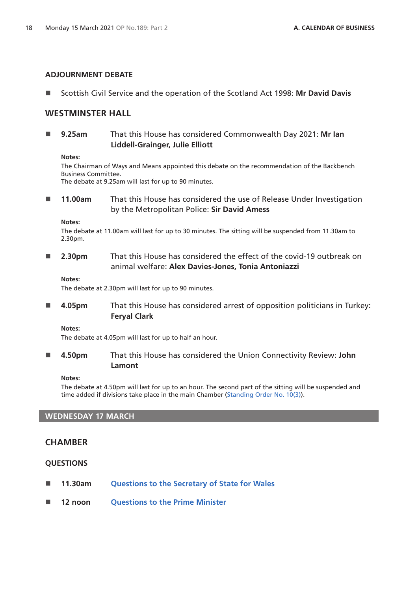#### **ADJOURNMENT DEBATE**

■ Scottish Civil Service and the operation of the Scotland Act 1998: Mr David Davis

# **WESTMINSTER HALL**

 **9.25am** That this House has considered Commonwealth Day 2021: **Mr Ian Liddell-Grainger, Julie Elliott**

#### **Notes:**

The Chairman of Ways and Means appointed this debate on the recommendation of the Backbench Business Committee.

The debate at 9.25am will last for up to 90 minutes.

 **11.00am** That this House has considered the use of Release Under Investigation by the Metropolitan Police: **Sir David Amess**

#### **Notes:**

The debate at 11.00am will last for up to 30 minutes. The sitting will be suspended from 11.30am to 2.30pm.

 **2.30pm** That this House has considered the effect of the covid-19 outbreak on animal welfare: **Alex Davies-Jones, Tonia Antoniazzi**

#### **Notes:**

The debate at 2.30pm will last for up to 90 minutes.

 **4.05pm** That this House has considered arrest of opposition politicians in Turkey: **Feryal Clark**

**Notes:**

The debate at 4.05pm will last for up to half an hour.

 **4.50pm** That this House has considered the Union Connectivity Review: **John Lamont**

#### **Notes:**

The debate at 4.50pm will last for up to an hour. The second part of the sitting will be suspended and time added if divisions take place in the main Chamber ([Standing Order No. 10\(3\)\)](https://publications.parliament.uk/pa/cm201919/cmstords/341/body.html#10(3)).

## **WEDNESDAY 17 MARCH**

# **CHAMBER**

## **QUESTIONS**

- **11.30am [Questions to the Secretary of State for Wales](https://commonsbusiness.parliament.uk/document/46153/html#anchor-4)**
- **12 noon [Questions to the Prime Minister](https://commonsbusiness.parliament.uk/document/46153/html#anchor-5)**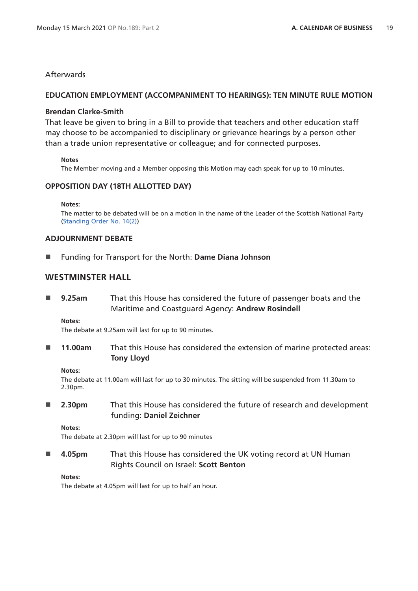# **Afterwards**

#### **EDUCATION EMPLOYMENT (ACCOMPANIMENT TO HEARINGS): TEN MINUTE RULE MOTION**

#### **Brendan Clarke-Smith**

That leave be given to bring in a Bill to provide that teachers and other education staff may choose to be accompanied to disciplinary or grievance hearings by a person other than a trade union representative or colleague; and for connected purposes.

#### **Notes**

The Member moving and a Member opposing this Motion may each speak for up to 10 minutes.

## **OPPOSITION DAY (18TH ALLOTTED DAY)**

**Notes:**

The matter to be debated will be on a motion in the name of the Leader of the Scottish National Party [\(Standing Order No. 14\(2\)](https://publications.parliament.uk/pa/cm201919/cmstords/341/body.html#14(2)))

#### **ADJOURNMENT DEBATE**

Funding for Transport for the North: **Dame Diana Johnson**

# **WESTMINSTER HALL**

 **9.25am** That this House has considered the future of passenger boats and the Maritime and Coastguard Agency: **Andrew Rosindell**

#### **Notes:**

The debate at 9.25am will last for up to 90 minutes.

**11.00am** That this House has considered the extension of marine protected areas: **Tony Lloyd**

#### **Notes:**

The debate at 11.00am will last for up to 30 minutes. The sitting will be suspended from 11.30am to 2.30pm.

 **2.30pm** That this House has considered the future of research and development funding: **Daniel Zeichner**

#### **Notes:**

The debate at 2.30pm will last for up to 90 minutes

 **4.05pm** That this House has considered the UK voting record at UN Human Rights Council on Israel: **Scott Benton**

#### **Notes:**

The debate at 4.05pm will last for up to half an hour.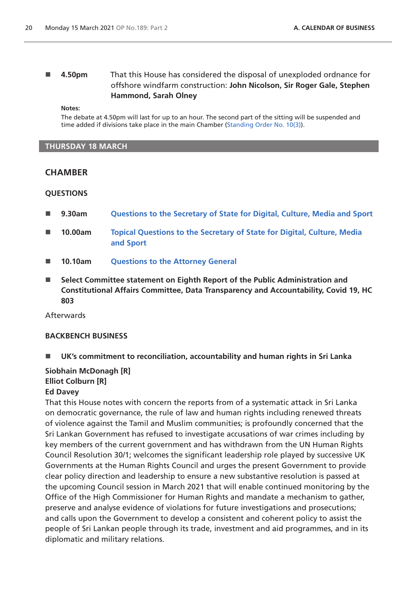# **4.50pm** That this House has considered the disposal of unexploded ordnance for offshore windfarm construction: **John Nicolson, Sir Roger Gale, Stephen Hammond, Sarah Olney**

**Notes:**

The debate at 4.50pm will last for up to an hour. The second part of the sitting will be suspended and time added if divisions take place in the main Chamber ([Standing Order No. 10\(3\)\)](https://publications.parliament.uk/pa/cm201919/cmstords/341/body.html#10(3)).

#### **THURSDAY 18 MARCH**

## **CHAMBER**

#### **QUESTIONS**

- **9.30am [Questions to the Secretary of State for Digital, Culture, Media and Sport](https://commonsbusiness.parliament.uk/document/46153/html#anchor-7)**
- **10.00am [Topical Questions to the Secretary of State for Digital, Culture, Media](https://commonsbusiness.parliament.uk/document/46153/html#anchor-8)  [and Sport](https://commonsbusiness.parliament.uk/document/46153/html#anchor-8)**
- **10.10am [Questions to the Attorney General](https://commonsbusiness.parliament.uk/document/46153/html#anchor-9)**
- **Select Committee statement on Eighth Report of the Public Administration and Constitutional Affairs Committee, Data Transparency and Accountability, Covid 19, HC 803**

Afterwards

## **BACKBENCH BUSINESS**

**UK's commitment to reconciliation, accountability and human rights in Sri Lanka**

# **Siobhain McDonagh [R] Elliot Colburn [R]**

#### **Ed Davey**

That this House notes with concern the reports from of a systematic attack in Sri Lanka on democratic governance, the rule of law and human rights including renewed threats of violence against the Tamil and Muslim communities; is profoundly concerned that the Sri Lankan Government has refused to investigate accusations of war crimes including by key members of the current government and has withdrawn from the UN Human Rights Council Resolution 30/1; welcomes the significant leadership role played by successive UK Governments at the Human Rights Council and urges the present Government to provide clear policy direction and leadership to ensure a new substantive resolution is passed at the upcoming Council session in March 2021 that will enable continued monitoring by the Office of the High Commissioner for Human Rights and mandate a mechanism to gather, preserve and analyse evidence of violations for future investigations and prosecutions; and calls upon the Government to develop a consistent and coherent policy to assist the people of Sri Lankan people through its trade, investment and aid programmes, and in its diplomatic and military relations.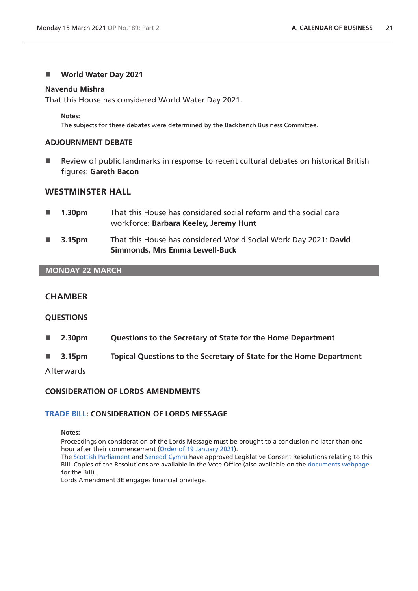#### **World Water Day 2021**

#### **Navendu Mishra**

That this House has considered World Water Day 2021.

**Notes:**

The subjects for these debates were determined by the Backbench Business Committee.

## **ADJOURNMENT DEBATE**

■ Review of public landmarks in response to recent cultural debates on historical British figures: **Gareth Bacon**

# **WESTMINSTER HALL**

- **1.30pm** That this House has considered social reform and the social care workforce: **Barbara Keeley, Jeremy Hunt**
- **3.15pm** That this House has considered World Social Work Day 2021: **David Simmonds, Mrs Emma Lewell-Buck**

#### **MONDAY 22 MARCH**

# **CHAMBER**

#### **QUESTIONS**

- **2.30pm Questions to the Secretary of State for the Home Department**
- **3.15pm Topical Questions to the Secretary of State for the Home Department**

Afterwards

#### **CONSIDERATION OF LORDS AMENDMENTS**

#### **[TRADE BILL](https://publications.parliament.uk/pa/bills/cbill/58-01/0262/20262.pdf): CONSIDERATION OF LORDS MESSAGE**

#### **Notes:**

Proceedings on consideration of the Lords Message must be brought to a conclusion no later than one hour after their commencement ([Order of 19 January 2021\)](https://commonsbusiness.parliament.uk/document/44640/pdf). The [Scottish Parliament](https://publications.parliament.uk/pa/bills/cbill/58-01/0120/Dr%20Benger%20Trade%20Bill.pdf) and [Senedd Cymru](https://publications.parliament.uk/pa/bills/cbill/58-01/0120/Joint%20Letter%20-%20LCM%20Trade%20Bill.pdf) have approved Legislative Consent Resolutions relating to this Bill. Copies of the Resolutions are available in the Vote Office (also available on the [documents webpage](https://bills.parliament.uk/bills/2729/publications)

for the Bill).

Lords Amendment 3E engages financial privilege.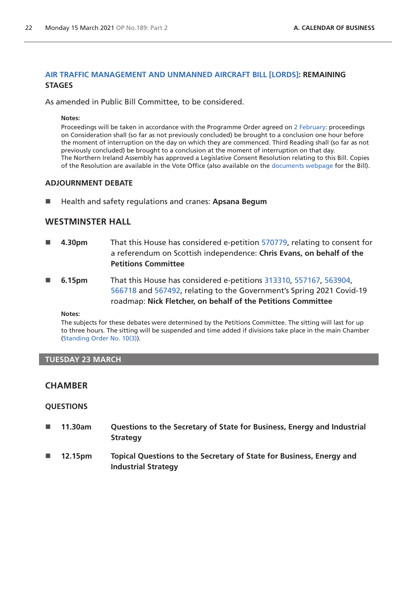## **[AIR TRAFFIC MANAGEMENT AND UNMANNED AIRCRAFT BILL \[LORDS\]](https://publications.parliament.uk/pa/bills/cbill/58-01/0257/200257.pdf): REMAINING STAGES**

As amended in Public Bill Committee, to be considered.

**Notes:**

Proceedings will be taken in accordance with the Programme Order agreed on [2 February:](https://commonsbusiness.parliament.uk/document/45099/pdf) proceedings on Consideration shall (so far as not previously concluded) be brought to a conclusion one hour before the moment of interruption on the day on which they are commenced. Third Reading shall (so far as not previously concluded) be brought to a conclusion at the moment of interruption on that day. The Northern Ireland Assembly has approved a Legislative Consent Resolution relating to this Bill. Copies of the Resolution are available in the Vote Office (also available on the [documents webpage](https://bills.parliament.uk/bills/2533/publications) for the Bill).

## **ADJOURNMENT DEBATE**

■ Health and safety regulations and cranes: Apsana Begum

# **WESTMINSTER HALL**

- **4.30pm** That this House has considered e-petition [570779](https://petition.parliament.uk/petitions/570779), relating to consent for a referendum on Scottish independence: **Chris Evans, on behalf of the Petitions Committee**
- **6.15pm** That this House has considered e-petitions [313310](https://petition.parliament.uk/petitions/313310), [557167](https://petition.parliament.uk/petitions/557167), [563904](https://petition.parliament.uk/petitions/563904), [566718](https://petition.parliament.uk/petitions/566718) and [567492,](https://petition.parliament.uk/petitions/567492) relating to the Government's Spring 2021 Covid-19 roadmap: **Nick Fletcher, on behalf of the Petitions Committee**

**Notes:**

The subjects for these debates were determined by the Petitions Committee. The sitting will last for up to three hours. The sitting will be suspended and time added if divisions take place in the main Chamber [\(Standing Order No. 10\(3\)](https://publications.parliament.uk/pa/cm201919/cmstords/341/body.html#10(3))).

#### **TUESDAY 23 MARCH**

# **CHAMBER**

## **QUESTIONS**

- 11.30am Questions to the Secretary of State for Business, Energy and Industrial **Strategy**
- 12.15pm Topical Questions to the Secretary of State for Business, Energy and **Industrial Strategy**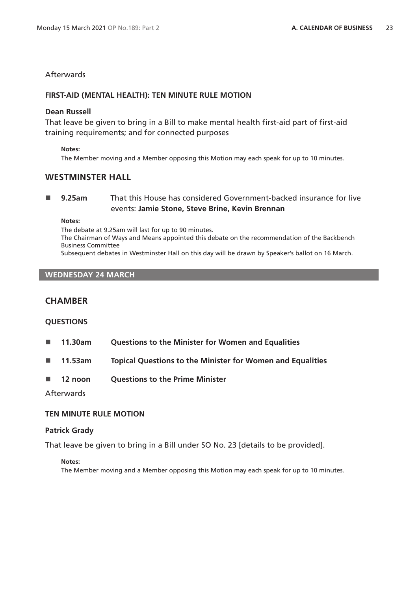# **Afterwards**

#### **FIRST-AID (MENTAL HEALTH): TEN MINUTE RULE MOTION**

#### **Dean Russell**

That leave be given to bring in a Bill to make mental health first-aid part of first-aid training requirements; and for connected purposes

#### **Notes:**

The Member moving and a Member opposing this Motion may each speak for up to 10 minutes.

## **WESTMINSTER HALL**

 **9.25am** That this House has considered Government-backed insurance for live events: **Jamie Stone, Steve Brine, Kevin Brennan**

**Notes:** 

The debate at 9.25am will last for up to 90 minutes. The Chairman of Ways and Means appointed this debate on the recommendation of the Backbench Business Committee Subsequent debates in Westminster Hall on this day will be drawn by Speaker's ballot on 16 March.

#### **WEDNESDAY 24 MARCH**

## **CHAMBER**

## **QUESTIONS**

- **11.30am Questions to the Minister for Women and Equalities**
- **11.53am Topical Questions to the Minister for Women and Equalities**
- **12 noon Questions to the Prime Minister**

#### **Afterwards**

## **TEN MINUTE RULE MOTION**

#### **Patrick Grady**

That leave be given to bring in a Bill under SO No. 23 [details to be provided].

#### **Notes:**

The Member moving and a Member opposing this Motion may each speak for up to 10 minutes.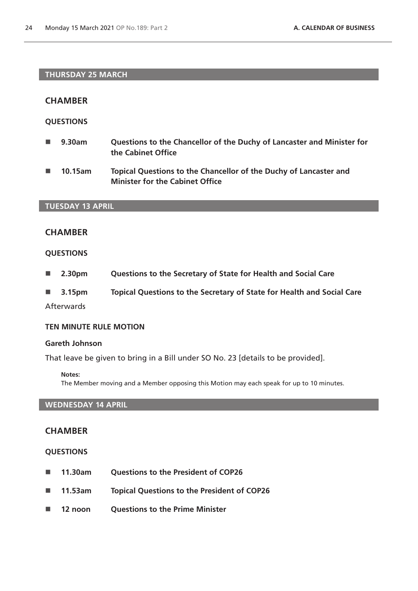## **THURSDAY 25 MARCH**

## **CHAMBER**

## **QUESTIONS**

- 9.30am Questions to the Chancellor of the Duchy of Lancaster and Minister for **the Cabinet Office**
- 10.15am Topical Questions to the Chancellor of the Duchy of Lancaster and **Minister for the Cabinet Office**

## **TUESDAY 13 APRIL**

# **CHAMBER**

## **QUESTIONS**

- **2.30pm Questions to the Secretary of State for Health and Social Care**
- **3.15pm Topical Questions to the Secretary of State for Health and Social Care**

**Afterwards** 

#### **TEN MINUTE RULE MOTION**

#### **Gareth Johnson**

That leave be given to bring in a Bill under SO No. 23 [details to be provided].

#### **Notes:**

The Member moving and a Member opposing this Motion may each speak for up to 10 minutes.

## **WEDNESDAY 14 APRIL**

## **CHAMBER**

## **QUESTIONS**

- 11.30am Questions to the President of COP26
- **11.53am Topical Questions to the President of COP26**
- 12 noon Questions to the Prime Minister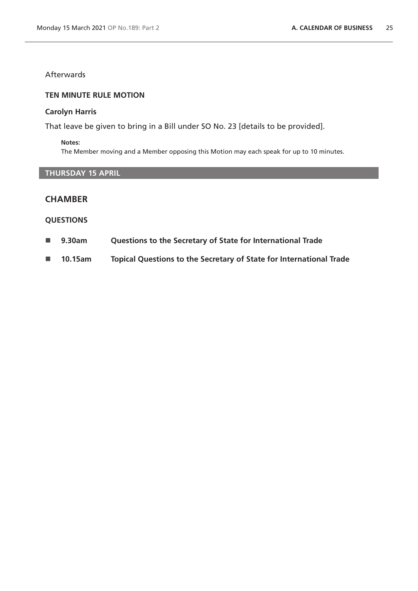# Afterwards

## **TEN MINUTE RULE MOTION**

## **Carolyn Harris**

That leave be given to bring in a Bill under SO No. 23 [details to be provided].

#### **Notes:**

The Member moving and a Member opposing this Motion may each speak for up to 10 minutes.

# **THURSDAY 15 APRIL**

# **CHAMBER**

## **QUESTIONS**

- **9.30am Questions to the Secretary of State for International Trade**
- **10.15am Topical Questions to the Secretary of State for International Trade**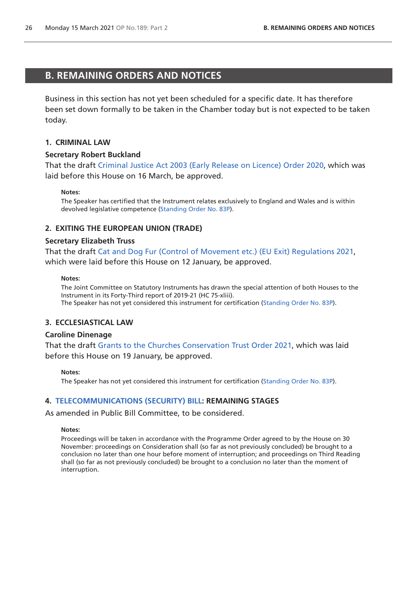# <span id="page-25-0"></span>**B. REMAINING ORDERS AND NOTICES**

Business in this section has not yet been scheduled for a specific date. It has therefore been set down formally to be taken in the Chamber today but is not expected to be taken today.

## **1. CRIMINAL LAW**

#### **Secretary Robert Buckland**

That the draft [Criminal Justice Act 2003 \(Early Release on Licence\) Order 2020](http://www.legislation.gov.uk/ukdsi/2020/9780111194461/pdfs/ukdsi_9780111194461_en.pdf), which was laid before this House on 16 March, be approved.

#### **Notes:**

The Speaker has certified that the Instrument relates exclusively to England and Wales and is within devolved legislative competence ([Standing Order No. 83P\)](https://publications.parliament.uk/pa/cm201919/cmstords/341/body.html#83P).

## **2. EXITING THE EUROPEAN UNION (TRADE)**

#### **Secretary Elizabeth Truss**

That the draft [Cat and Dog Fur \(Control of Movement etc.\) \(EU Exit\) Regulations 2021,](https://www.legislation.gov.uk/ukdsi/2021/9780348218916/pdfs/ukdsi_9780348218916_en.pdf) which were laid before this House on 12 January, be approved.

#### **Notes:**

The Joint Committee on Statutory Instruments has drawn the special attention of both Houses to the Instrument in its Forty-Third report of 2019-21 (HC 75-xliii). The Speaker has not yet considered this instrument for certification [\(Standing Order No. 83P](https://publications.parliament.uk/pa/cm201919/cmstords/341/body.html#83P)).

## **3. ECCLESIASTICAL LAW**

#### **Caroline Dinenage**

That the draft [Grants to the Churches Conservation Trust Order 2021,](https://www.legislation.gov.uk/ukdsi/2021/9780348219258/pdfs/ukdsi_9780348219258_en.pdf) which was laid before this House on 19 January, be approved.

#### **Notes:**

The Speaker has not yet considered this instrument for certification [\(Standing Order No. 83P](https://publications.parliament.uk/pa/cm201919/cmstords/341/body.html#83P)).

#### **4. [TELECOMMUNICATIONS \(SECURITY\) BILL:](https://publications.parliament.uk/pa/bills/cbill/58-01/0246/200246.pdf) REMAINING STAGES**

As amended in Public Bill Committee, to be considered.

#### **Notes:**

Proceedings will be taken in accordance with the Programme Order agreed to by the House on 30 November: proceedings on Consideration shall (so far as not previously concluded) be brought to a conclusion no later than one hour before moment of interruption; and proceedings on Third Reading shall (so far as not previously concluded) be brought to a conclusion no later than the moment of interruption.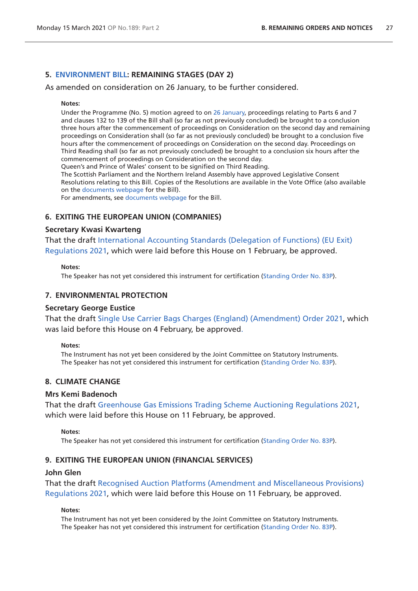#### **5. [ENVIRONMENT BILL](https://publications.parliament.uk/pa/bills/cbill/58-01/0220/200220.pdf): REMAINING STAGES (DAY 2)**

As amended on consideration on 26 January, to be further considered.

#### **Notes:**

Under the Programme (No. 5) motion agreed to on [26 January](https://commonsbusiness.parliament.uk/document/44847/pdf), proceedings relating to Parts 6 and 7 and clauses 132 to 139 of the Bill shall (so far as not previously concluded) be brought to a conclusion three hours after the commencement of proceedings on Consideration on the second day and remaining proceedings on Consideration shall (so far as not previously concluded) be brought to a conclusion five hours after the commencement of proceedings on Consideration on the second day. Proceedings on Third Reading shall (so far as not previously concluded) be brought to a conclusion six hours after the commencement of proceedings on Consideration on the second day.

Queen's and Prince of Wales' consent to be signified on Third Reading.

The Scottish Parliament and the Northern Ireland Assembly have approved Legislative Consent Resolutions relating to this Bill. Copies of the Resolutions are available in the Vote Office (also available on the [documents webpage](https://bills.parliament.uk/bills/2593/publications) for the Bill).

For amendments, see [documents webpage](https://bills.parliament.uk/bills/2593/publications) for the Bill.

#### **6. EXITING THE EUROPEAN UNION (COMPANIES)**

#### **Secretary Kwasi Kwarteng**

That the draft [International Accounting Standards \(Delegation of Functions\) \(EU Exit\)](https://www.legislation.gov.uk/ukdsi/2021/9780348219562/pdfs/ukdsi_9780348219562_en.pdf)  [Regulations 2021](https://www.legislation.gov.uk/ukdsi/2021/9780348219562/pdfs/ukdsi_9780348219562_en.pdf), which were laid before this House on 1 February, be approved.

#### **Notes:**

The Speaker has not yet considered this instrument for certification [\(Standing Order No. 83P](https://publications.parliament.uk/pa/cm201919/cmstords/341/body.html#83P)).

## **7. ENVIRONMENTAL PROTECTION**

#### **Secretary George Eustice**

That the draft [Single Use Carrier Bags Charges \(England\) \(Amendment\) Order 2021,](https://www.legislation.gov.uk/ukdsi/2021/9780348219760/pdfs/ukdsi_9780348219760_en.pdf) which was laid before this House on 4 February, be approved.

#### **Notes:**

The Instrument has not yet been considered by the Joint Committee on Statutory Instruments. The Speaker has not yet considered this instrument for certification [\(Standing Order No. 83P](https://publications.parliament.uk/pa/cm201919/cmstords/341/body.html#83P)).

# **8. CLIMATE CHANGE**

#### **Mrs Kemi Badenoch**

That the draft [Greenhouse Gas Emissions Trading Scheme Auctioning Regulations 2021](https://www.legislation.gov.uk/ukdsi/2021/9780348220049/pdfs/ukdsi_9780348220049_en.pdf), which were laid before this House on 11 February, be approved.

#### **Notes:**

The Speaker has not yet considered this instrument for certification [\(Standing Order No. 83P](https://publications.parliament.uk/pa/cm201919/cmstords/341/body.html#83P)).

#### **9. EXITING THE EUROPEAN UNION (FINANCIAL SERVICES)**

#### **John Glen**

That the draft [Recognised Auction Platforms \(Amendment and Miscellaneous Provisions\)](https://www.legislation.gov.uk/ukdsi/2021/9780348220032/pdfs/ukdsi_9780348220032_en.pdf)  [Regulations 2021](https://www.legislation.gov.uk/ukdsi/2021/9780348220032/pdfs/ukdsi_9780348220032_en.pdf), which were laid before this House on 11 February, be approved.

#### **Notes:**

The Instrument has not yet been considered by the Joint Committee on Statutory Instruments. The Speaker has not yet considered this instrument for certification [\(Standing Order No. 83P](https://publications.parliament.uk/pa/cm201919/cmstords/341/body.html#83P)).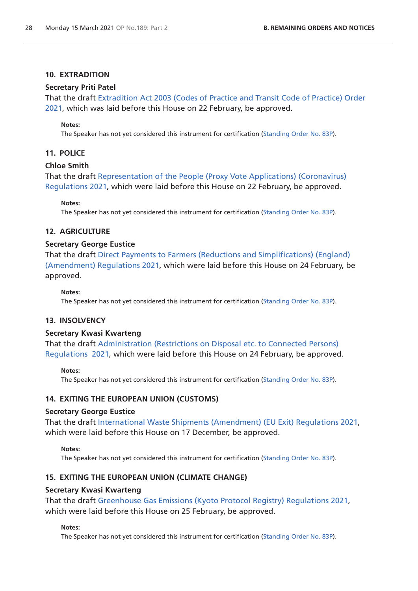## **10. EXTRADITION**

# **Secretary Priti Patel**

That the draft [Extradition Act 2003 \(Codes of Practice and Transit Code of Practice\) Order](https://www.legislation.gov.uk/ukdsi/2021/9780348220322/pdfs/ukdsi_9780348220322_en.pdf)  [2021,](https://www.legislation.gov.uk/ukdsi/2021/9780348220322/pdfs/ukdsi_9780348220322_en.pdf) which was laid before this House on 22 February, be approved.

#### **Notes:**

The Speaker has not yet considered this instrument for certification [\(Standing Order No. 83P](https://publications.parliament.uk/pa/cm201919/cmstords/341/body.html#83P)).

## **11. POLICE**

#### **Chloe Smith**

That the draft [Representation of the People \(Proxy Vote Applications\) \(Coronavirus\)](https://www.legislation.gov.uk/ukdsi/2021/9780348220339/pdfs/ukdsi_9780348220339_en.pdf)  [Regulations 2021](https://www.legislation.gov.uk/ukdsi/2021/9780348220339/pdfs/ukdsi_9780348220339_en.pdf), which were laid before this House on 22 February, be approved.

**Notes:**

The Speaker has not yet considered this instrument for certification [\(Standing Order No. 83P](https://publications.parliament.uk/pa/cm201919/cmstords/341/body.html#83P)).

#### **12. AGRICULTURE**

#### **Secretary George Eustice**

That the draft [Direct Payments to Farmers \(Reductions and Simplifications\) \(England\)](https://www.legislation.gov.uk/ukdsi/2021/9780348220438/pdfs/ukdsi_9780348220438_en.pdf)  [\(Amendment\) Regulations 2021,](https://www.legislation.gov.uk/ukdsi/2021/9780348220438/pdfs/ukdsi_9780348220438_en.pdf) which were laid before this House on 24 February, be approved.

#### **Notes:**

The Speaker has not yet considered this instrument for certification [\(Standing Order No. 83P](https://publications.parliament.uk/pa/cm201919/cmstords/341/body.html#83P)).

## **13. INSOLVENCY**

#### **Secretary Kwasi Kwarteng**

That the draft [Administration \(Restrictions on Disposal etc. to Connected Persons\)](https://www.legislation.gov.uk/ukdsi/2021/9780348220421/pdfs/ukdsi_9780348220421_en.pdf)  [Regulations 2021](https://www.legislation.gov.uk/ukdsi/2021/9780348220421/pdfs/ukdsi_9780348220421_en.pdf), which were laid before this House on 24 February, be approved.

#### **Notes:**

The Speaker has not yet considered this instrument for certification [\(Standing Order No. 83P](https://publications.parliament.uk/pa/cm201919/cmstords/341/body.html#83P)).

#### **14. EXITING THE EUROPEAN UNION (CUSTOMS)**

#### **Secretary George Eustice**

That the draft [International Waste Shipments \(Amendment\) \(EU Exit\) Regulations 2021,](https://www.legislation.gov.uk/ukdsi/2021/9780348217650/pdfs/ukdsi_9780348217650_en.pdf) which were laid before this House on 17 December, be approved.

#### **Notes:**

The Speaker has not yet considered this instrument for certification [\(Standing Order No. 83P](https://publications.parliament.uk/pa/cm201919/cmstords/341/body.html#83P)).

## **15. EXITING THE EUROPEAN UNION (CLIMATE CHANGE)**

#### **Secretary Kwasi Kwarteng**

That the draft [Greenhouse Gas Emissions \(Kyoto Protocol Registry\) Regulations 2021,](https://www.legislation.gov.uk/ukdsi/2021/9780348220551/pdfs/ukdsi_9780348220551_en.pdf) which were laid before this House on 25 February, be approved.

**Notes:**

The Speaker has not yet considered this instrument for certification [\(Standing Order No. 83P](https://publications.parliament.uk/pa/cm201919/cmstords/341/body.html#83P)).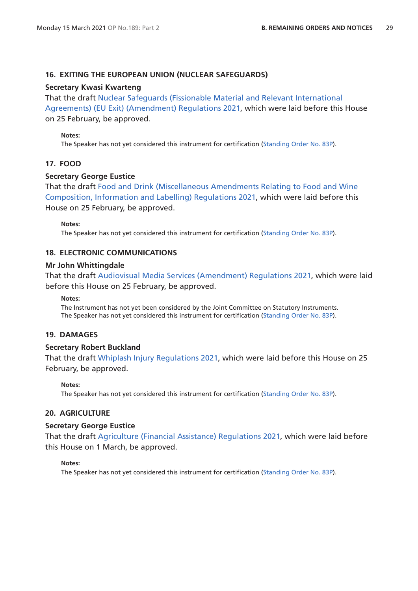## **16. EXITING THE EUROPEAN UNION (NUCLEAR SAFEGUARDS)**

## **Secretary Kwasi Kwarteng**

That the draf[t Nuclear Safeguards \(Fissionable Material and Relevant International](https://www.legislation.gov.uk/ukdsi/2021/9780348220469/pdfs/ukdsi_9780348220469_en.pdf)  [Agreements\) \(EU Exit\) \(Amendment\) Regulations 2021](https://www.legislation.gov.uk/ukdsi/2021/9780348220469/pdfs/ukdsi_9780348220469_en.pdf), which were laid before this House on 25 February, be approved.

## **Notes:**

The Speaker has not yet considered this instrument for certification [\(Standing Order No. 83P](https://publications.parliament.uk/pa/cm201919/cmstords/341/body.html#83P)).

# **17. FOOD**

## **Secretary George Eustice**

That the draft [Food and Drink \(Miscellaneous Amendments Relating to Food and Wine](https://www.legislation.gov.uk/ukdsi/2021/9780348220544/pdfs/ukdsi_9780348220544_en.pdf)  [Composition, Information and Labelling\) Regulations 2021](https://www.legislation.gov.uk/ukdsi/2021/9780348220544/pdfs/ukdsi_9780348220544_en.pdf), which were laid before this House on 25 February, be approved.

#### **Notes:**

The Speaker has not yet considered this instrument for certification [\(Standing Order No. 83P](https://publications.parliament.uk/pa/cm201919/cmstords/341/body.html#83P)).

## **18. ELECTRONIC COMMUNICATIONS**

## **Mr John Whittingdale**

That the draft [Audiovisual Media Services \(Amendment\) Regulations 2021](https://www.legislation.gov.uk/ukdsi/2021/9780348220582/pdfs/ukdsi_9780348220582_en.pdf), which were laid before this House on 25 February, be approved.

#### **Notes:**

The Instrument has not yet been considered by the Joint Committee on Statutory Instruments. The Speaker has not yet considered this instrument for certification [\(Standing Order No. 83P](https://publications.parliament.uk/pa/cm201919/cmstords/341/body.html#83P)).

## **19. DAMAGES**

## **Secretary Robert Buckland**

That the draft [Whiplash Injury Regulations 2021,](https://www.legislation.gov.uk/ukdsi/2021/9780348220612/pdfs/ukdsi_9780348220612_en.pdf) which were laid before this House on 25 February, be approved.

#### **Notes:**

The Speaker has not yet considered this instrument for certification [\(Standing Order No. 83P](https://publications.parliament.uk/pa/cm201919/cmstords/341/body.html#83P)).

# **20. AGRICULTURE**

## **Secretary George Eustice**

That the draft [Agriculture \(Financial Assistance\) Regulations 2021](https://www.legislation.gov.uk/ukdsi/2021/9780348220667/pdfs/ukdsi_9780348220667_en.pdf), which were laid before this House on 1 March, be approved.

#### **Notes:**

The Speaker has not yet considered this instrument for certification [\(Standing Order No. 83P](https://publications.parliament.uk/pa/cm201919/cmstords/341/body.html#83P)).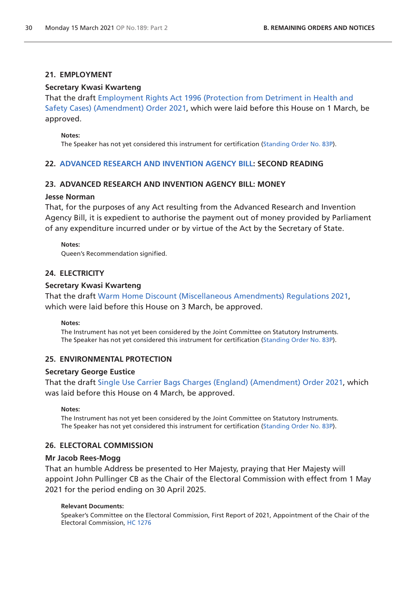## **21. EMPLOYMENT**

## **Secretary Kwasi Kwarteng**

That the draft [Employment Rights Act 1996 \(Protection from Detriment in Health and](https://www.legislation.gov.uk/ukdsi/2021/9780348220636/pdfs/ukdsi_9780348220636_en.pdf)  [Safety Cases\) \(Amendment\) Order 2021](https://www.legislation.gov.uk/ukdsi/2021/9780348220636/pdfs/ukdsi_9780348220636_en.pdf), which were laid before this House on 1 March, be approved.

#### **Notes:**

The Speaker has not yet considered this instrument for certification [\(Standing Order No. 83P](https://publications.parliament.uk/pa/cm201919/cmstords/341/body.html#83P)).

## **22. [ADVANCED RESEARCH AND INVENTION AGENCY BILL:](https://publications.parliament.uk/pa/bills/cbill/58-01/0264/200264.pdf) SECOND READING**

## **23. ADVANCED RESEARCH AND INVENTION AGENCY BILL: MONEY**

## **Jesse Norman**

That, for the purposes of any Act resulting from the Advanced Research and Invention Agency Bill, it is expedient to authorise the payment out of money provided by Parliament of any expenditure incurred under or by virtue of the Act by the Secretary of State.

#### **Notes:**

Queen's Recommendation signified.

## **24. ELECTRICITY**

## **Secretary Kwasi Kwarteng**

That the draft [Warm Home Discount \(Miscellaneous Amendments\) Regulations 2021](https://www.legislation.gov.uk/ukdsi/2021/9780348220780/pdfs/ukdsi_9780348220780_en.pdf), which were laid before this House on 3 March, be approved.

#### **Notes:**

The Instrument has not yet been considered by the Joint Committee on Statutory Instruments. The Speaker has not yet considered this instrument for certification [\(Standing Order No. 83P](https://publications.parliament.uk/pa/cm201919/cmstords/341/body.html#83P)).

## **25. ENVIRONMENTAL PROTECTION**

## **Secretary George Eustice**

That the draft [Single Use Carrier Bags Charges \(England\) \(Amendment\) Order 2021,](https://www.legislation.gov.uk/ukdsi/2021/9780348220919/pdfs/ukdsi_9780348220919_en.pdf) which was laid before this House on 4 March, be approved.

#### **Notes:**

The Instrument has not yet been considered by the Joint Committee on Statutory Instruments. The Speaker has not yet considered this instrument for certification [\(Standing Order No. 83P](https://publications.parliament.uk/pa/cm201919/cmstords/341/body.html#83P)).

## **26. ELECTORAL COMMISSION**

## **Mr Jacob Rees-Mogg**

That an humble Address be presented to Her Majesty, praying that Her Majesty will appoint John Pullinger CB as the Chair of the Electoral Commission with effect from 1 May 2021 for the period ending on 30 April 2025.

## **Relevant Documents:**

Speaker's Committee on the Electoral Commission, First Report of 2021, Appointment of the Chair of the Electoral Commission, [HC 1276](https://committees.parliament.uk/publications/4897/documents/49153/default/)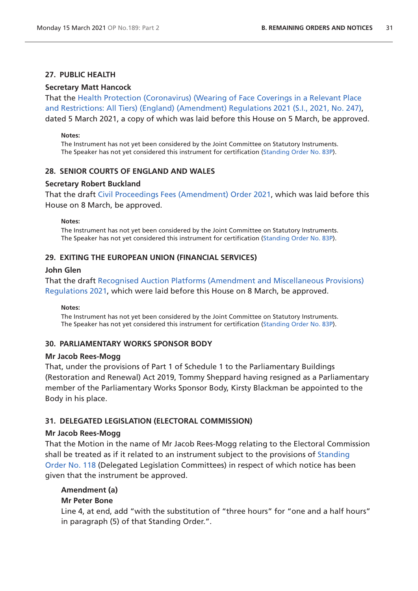## **27. PUBLIC HEALTH**

#### **Secretary Matt Hancock**

That the [Health Protection \(Coronavirus\) \(Wearing of Face Coverings in a Relevant Place](https://www.legislation.gov.uk/uksi/2021/247/pdfs/uksi_20210247_en.pdf)  [and Restrictions: All Tiers\) \(England\) \(Amendment\) Regulations 2021 \(S.I., 2021, No. 247\)](https://www.legislation.gov.uk/uksi/2021/247/pdfs/uksi_20210247_en.pdf), dated 5 March 2021, a copy of which was laid before this House on 5 March, be approved.

#### **Notes:**

The Instrument has not yet been considered by the Joint Committee on Statutory Instruments. The Speaker has not yet considered this instrument for certification [\(Standing Order No. 83P](https://publications.parliament.uk/pa/cm201919/cmstords/341/body.html#83P)).

#### **28. SENIOR COURTS OF ENGLAND AND WALES**

#### **Secretary Robert Buckland**

That the draft [Civil Proceedings Fees \(Amendment\) Order 2021,](https://www.legislation.gov.uk/ukdsi/2021/9780348221046/pdfs/ukdsi_9780348221046_en.pdf) which was laid before this House on 8 March, be approved.

#### **Notes:**

The Instrument has not yet been considered by the Joint Committee on Statutory Instruments. The Speaker has not yet considered this instrument for certification [\(Standing Order No. 83P](https://publications.parliament.uk/pa/cm201919/cmstords/341/body.html#83P)).

#### **29. EXITING THE EUROPEAN UNION (FINANCIAL SERVICES)**

## **John Glen**

That the draft [Recognised Auction Platforms \(Amendment and Miscellaneous Provisions\)](https://www.legislation.gov.uk/ukdsi/2021/9780348220940/pdfs/ukdsi_9780348220940_en.pdf)  [Regulations 2021](https://www.legislation.gov.uk/ukdsi/2021/9780348220940/pdfs/ukdsi_9780348220940_en.pdf), which were laid before this House on 8 March, be approved.

**Notes:**

The Instrument has not yet been considered by the Joint Committee on Statutory Instruments. The Speaker has not yet considered this instrument for certification [\(Standing Order No. 83P](https://publications.parliament.uk/pa/cm201919/cmstords/341/body.html#83P)).

## **30. PARLIAMENTARY WORKS SPONSOR BODY**

#### **Mr Jacob Rees-Mogg**

That, under the provisions of Part 1 of Schedule 1 to the Parliamentary Buildings (Restoration and Renewal) Act 2019, Tommy Sheppard having resigned as a Parliamentary member of the Parliamentary Works Sponsor Body, Kirsty Blackman be appointed to the Body in his place.

## **31. DELEGATED LEGISLATION (ELECTORAL COMMISSION)**

#### **Mr Jacob Rees-Mogg**

That the Motion in the name of Mr Jacob Rees-Mogg relating to the Electoral Commission shall be treated as if it related to an instrument subject to the provisions of [Standing](https://publications.parliament.uk/pa/cm201919/cmstords/341/body.html#118)  [Order No. 118](https://publications.parliament.uk/pa/cm201919/cmstords/341/body.html#118) (Delegated Legislation Committees) in respect of which notice has been given that the instrument be approved.

#### **Amendment (a)**

## **Mr Peter Bone**

Line 4, at end, add "with the substitution of "three hours" for "one and a half hours" in paragraph (5) of that Standing Order.".